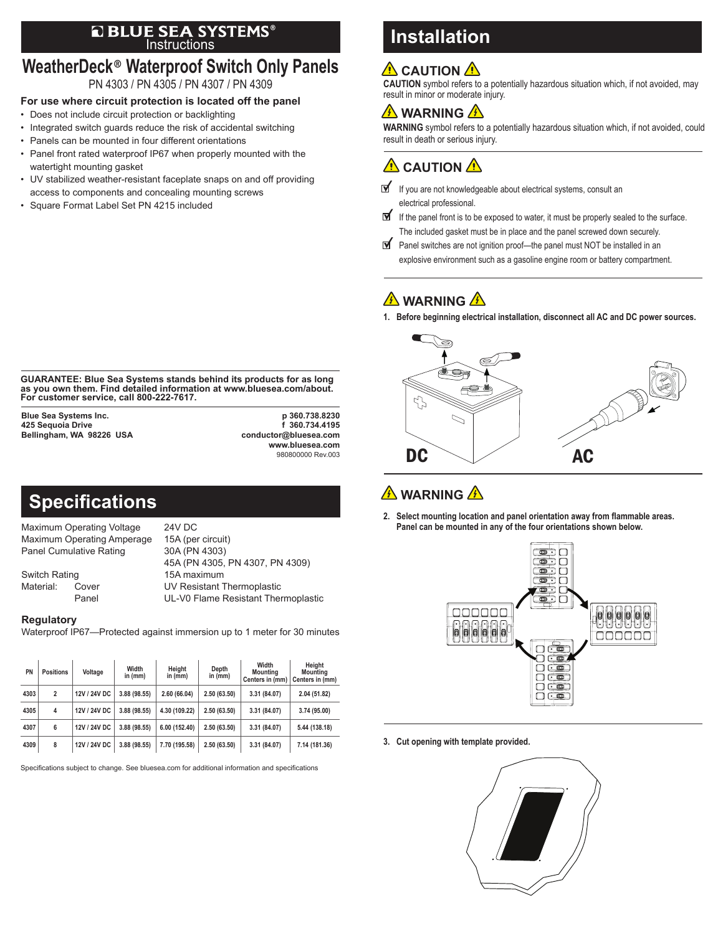### Instructions ®

# **WeatherDeck**® **Waterproof Switch Only Panels**

PN 4303 / PN 4305 / PN 4307 / PN 4309

### **For use where circuit protection is located off the panel**

- Does not include circuit protection or backlighting
- Integrated switch guards reduce the risk of accidental switching
- Panels can be mounted in four different orientations
- Panel front rated waterproof IP67 when properly mounted with the watertight mounting gasket
- UV stabilized weather-resistant faceplate snaps on and off providing access to components and concealing mounting screws
- Square Format Label Set PN 4215 included

#### **GUARANTEE: Blue Sea Systems stands behind its products for as long as you own them. Find detailed information at www.bluesea.com/about. For customer service, call 800-222-7617.**

**Blue Sea Systems Inc. p 360.738.8230 425 Sequoia Drive f 360.734.4195 Bellingham, WA 98226 USA** 

 **www.bluesea.com** 980800000 Rev.003

## **Specifications**

Maximum Operating Voltage 24V DC Maximum Operating Amperage 15A (per circuit)<br>Panel Cumulative Rating 30A (PN 4303) Panel Cumulative Rating

45A (PN 4305, PN 4307, PN 4309) Switch Rating 15A maximum Material: Cover UV Resistant Thermoplastic Panel UL-V0 Flame Resistant Thermoplastic

#### **Regulatory**

Waterproof IP67—Protected against immersion up to 1 meter for 30 minutes

| PN   | <b>Positions</b> | Voltage      | Width<br>in (mm) | Height<br>in (mm) | Depth<br>in (mm) | Width<br>Mounting<br>Centers in (mm) | Height<br>Mounting<br>Centers in (mm) |
|------|------------------|--------------|------------------|-------------------|------------------|--------------------------------------|---------------------------------------|
| 4303 | $\overline{2}$   | 12V / 24V DC | 3.88 (98.55)     | 2.60(66.04)       | 2.50(63.50)      | 3.31 (84.07)                         | 2.04 (51.82)                          |
| 4305 | 4                | 12V / 24V DC | 3.88 (98.55)     | 4.30 (109.22)     | 2.50(63.50)      | 3.31 (84.07)                         | 3.74 (95.00)                          |
| 4307 | 6                | 12V / 24V DC | 3.88 (98.55)     | 6.00 (152.40)     | 2.50(63.50)      | 3.31 (84.07)                         | 5.44 (138.18)                         |
| 4309 | 8                | 12V / 24V DC | 3.88 (98.55)     | 7.70 (195.58)     | 2.50(63.50)      | 3.31 (84.07)                         | 7.14 (181.36)                         |

Specifications subject to change. See bluesea.com for additional information and specifications

# **Installation**

### **A** CAUTION A

**CAUTION** symbol refers to a potentially hazardous situation which, if not avoided, may result in minor or moderate injury.

### **A** WARNING A

**WARNING** symbol refers to a potentially hazardous situation which, if not avoided, could result in death or serious injury.

 $\triangle$  CAUTION  $\triangle$ 

- If you are not knowledgeable about electrical systems, consult an electrical professional.
- $\blacksquare$  If the panel front is to be exposed to water, it must be properly sealed to the surface. The included gasket must be in place and the panel screwed down securely.
- Panel switches are not ignition proof—the panel must NOT be installed in an explosive environment such as a gasoline engine room or battery compartment.

## **A** WARNING A

**1. Before beginning electrical installation, disconnect all AC and DC power sources.**



## **WARNING**

**2. Select mounting location and panel orientation away from flammable areas. Panel can be mounted in any of the four orientations shown below.**



**3. Cut opening with template provided.**